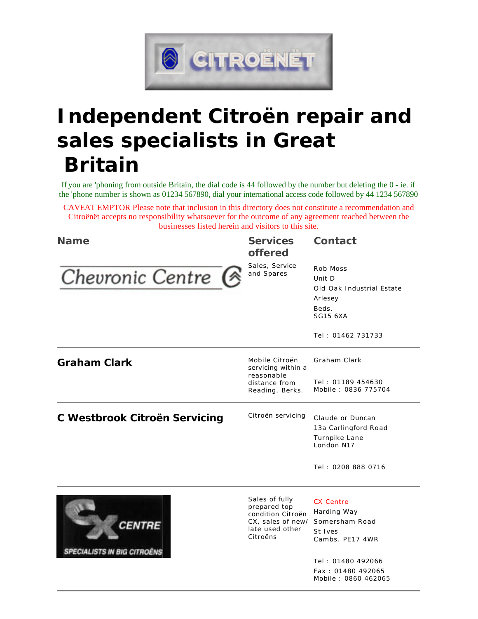

# **Independent Citroën repair and sales specialists in Great Britain**

If you are 'phoning from outside Britain, the dial code is 44 followed by the number but deleting the 0 - ie. if the 'phone number is shown as 01234 567890, dial your international access code followed by 44 1234 567890

CAVEAT EMPTOR Please note that inclusion in this directory does not constitute a recommendation and Citroënët accepts no responsibility whatsoever for the outcome of any agreement reached between the businesses listed herein and visitors to this site.

| <b>Name</b>                                         | <b>Services</b><br><b>offered</b>                                                                       | <b>Contact</b>                                                                                              |
|-----------------------------------------------------|---------------------------------------------------------------------------------------------------------|-------------------------------------------------------------------------------------------------------------|
| Chevronic Centre G                                  | Sales, Service<br>and Spares                                                                            | Rob Moss<br>Unit D<br>Old Oak Industrial Estate<br>Arlesey<br>Beds.<br><b>SG15 6XA</b><br>Tel: 01462 731733 |
| <b>Graham Clark</b>                                 | Mobile Citroën<br>servicing within a<br>reasonable<br>distance from<br>Reading, Berks.                  | Graham Clark                                                                                                |
|                                                     |                                                                                                         | Tel: 01189 454630<br>Mobile: 0836 775704                                                                    |
| <b>C Westbrook Citroën Servicing</b>                | Citroën servicing                                                                                       | Claude or Duncan<br>13a Carlingford Road<br>Turnpike Lane<br>London N17                                     |
|                                                     |                                                                                                         | Tel: 0208 888 0716                                                                                          |
| <b>CENTRE</b><br><b>SPECIALISTS IN BIG CITROËNS</b> | Sales of fully<br>prepared top<br>condition Citroën<br>CX, sales of new/<br>late used other<br>Citroëns | <b>CX Centre</b><br>Harding Way<br>Somersham Road<br>St Ives<br>Cambs. PE17 4WR                             |
|                                                     |                                                                                                         | Tel: 01480 492066<br>Fax: 01480 492065<br>Mobile: 0860 462065                                               |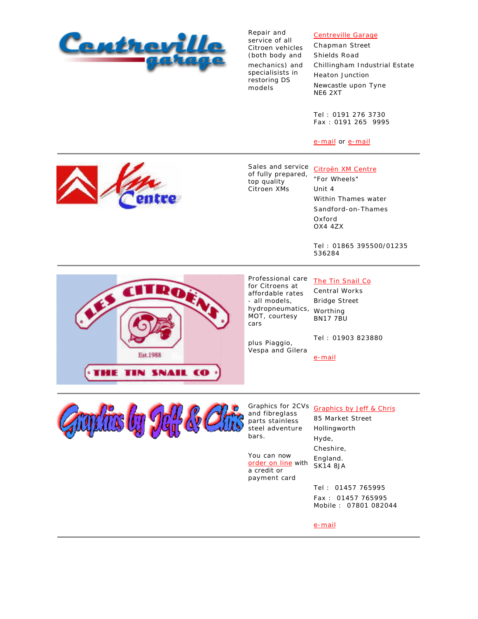

Repair and service of all Citroen vehicles (both body and mechanics) and specialisists in restoring DS models

## Centreville Garage

Chapman Street Shields Road Chillingham Industrial Estate Heaton Junction Newcastle upon Tyne NE6 2XT

Tel : 0191 276 3730 Fax : 0191 265 9995

e-mail or e-mail

Sales and service Citroën XM Centre of fully prepared, top quality Citroen XMs

"For Wheels" Unit 4 Within Thames water Sandford-on-Thames Oxford OX4 4ZX

Tel : 01865 395500/01235 536284



Professional care for Citroens at affordable rates - all models, hydropneumatics, Worthing MOT, courtesy cars

### The Tin Snail Co

Central Works Bridge Street BN17 7BU

plus Piaggio, Vespa and Gilera Tel : 01903 823880

e-mail



and fibreglass parts stainless steel adventure bars.

You can now order on line with a credit or payment card

Graphics for 2CVs Graphics by Jeff & Chris 85 Market Street Hollingworth Hyde, Cheshire, England. SK14 8JA

> Tel : 01457 765995 Fax : 01457 765995 Mobile : 07801 082044

e-mail